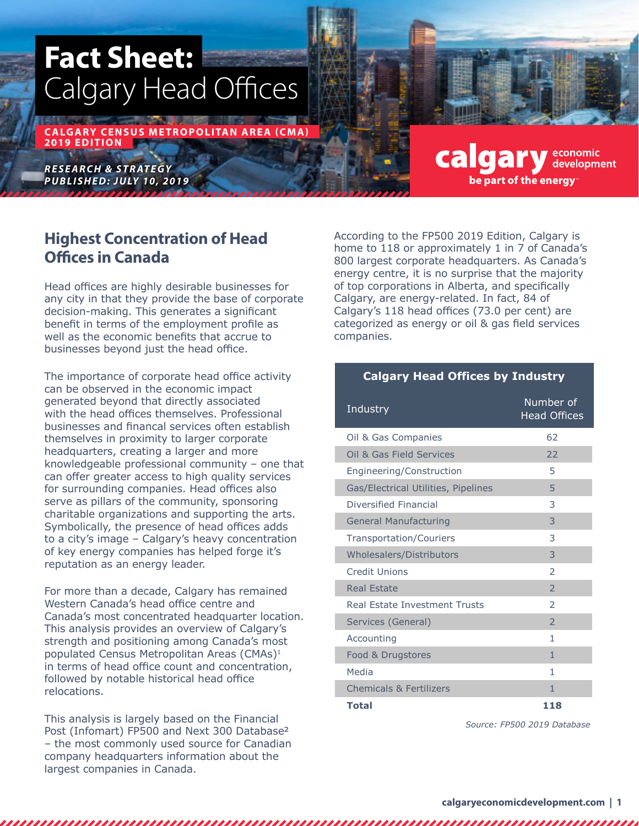# **Fact Sheet:** Calgary Head Offices

**CALGARY CENSUS METROPOLITAN AREA (CMA) 2019 EDITION**

*RESEARCH & STRATEGY P U B L I S H E D: J U LY 10, 2019*

# **Highest Concentration of Head Offices in Canada**

Head offices are highly desirable businesses for any city in that they provide the base of corporate decision-making. This generates a significant benefit in terms of the employment profile as well as the economic benefits that accrue to businesses beyond just the head office.

The importance of corporate head office activity can be observed in the economic impact generated beyond that directly associated with the head offices themselves. Professional businesses and financal services often establish themselves in proximity to larger corporate headquarters, creating a larger and more knowledgeable professional community – one that can offer greater access to high quality services for surrounding companies. Head offices also serve as pillars of the community, sponsoring charitable organizations and supporting the arts. Symbolically, the presence of head offices adds to a city's image – Calgary's heavy concentration of key energy companies has helped forge it's reputation as an energy leader.

For more than a decade, Calgary has remained Western Canada's head office centre and Canada's most concentrated headquarter location. This analysis provides an overview of Calgary's strength and positioning among Canada's most populated Census Metropolitan Areas (CMAs)<sup>1</sup> in terms of head office count and concentration, followed by notable historical head office relocations.

This analysis is largely based on the Financial Post (Infomart) FP500 and Next 300 Database2 – the most commonly used source for Canadian company headquarters information about the largest companies in Canada.

,,,,,,

According to the FP500 2019 Edition, Calgary is home to 118 or approximately 1 in 7 of Canada's 800 largest corporate headquarters. As Canada's energy centre, it is no surprise that the majority of top corporations in Alberta, and specifically Calgary, are energy-related. In fact, 84 of Calgary's 118 head offices (73.0 per cent) are categorized as energy or oil & gas field services companies.

calgary

be part of the energy

economic<br>development

## **Calgary Head Offices by Industry**

| Industry                            | Number of<br><b>Head Offices</b> |
|-------------------------------------|----------------------------------|
| Oil & Gas Companies                 | 62                               |
| Oil & Gas Field Services            | 22                               |
| Engineering/Construction            | 5                                |
| Gas/Electrical Utilities, Pipelines | 5                                |
| Diversified Financial               | 3                                |
| <b>General Manufacturing</b>        | 3                                |
| <b>Transportation/Couriers</b>      | 3                                |
| Wholesalers/Distributors            | 3                                |
| Credit Unions                       | $\mathcal{P}$                    |
| <b>Real Estate</b>                  | $\overline{\phantom{0}}$         |
| Real Estate Investment Trusts       | $\mathcal{P}$                    |
| Services (General)                  | $\overline{\phantom{0}}$         |
| Accounting                          | 1                                |
| Food & Drugstores                   | 1                                |
| Media                               | 1                                |
| <b>Chemicals &amp; Fertilizers</b>  | 1                                |
| <b>Total</b>                        | 118                              |

*Source: FP500 2019 Database*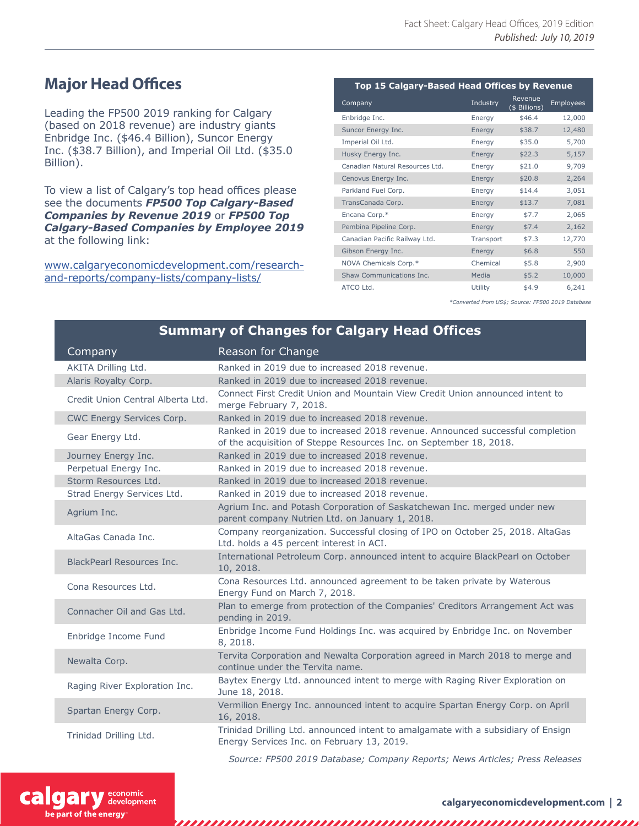# **Major Head Offices**

Leading the FP500 2019 ranking for Calgary (based on 2018 revenue) are industry giants Enbridge Inc. (\$46.4 Billion), Suncor Energy Inc. (\$38.7 Billion), and Imperial Oil Ltd. (\$35.0 Billion).

To view a list of Calgary's top head offices please see the documents *FP500 Top Calgary-Based Companies by Revenue 2019* or *FP500 Top Calgary-Based Companies by Employee 2019*  at the following link:

www.calgaryeconomicdevelopment.com/researchand-reports/company-lists/company-lists/

| Top 15 Calgary-Based Head Offices by Revenue |           |                          |                  |  |  |  |
|----------------------------------------------|-----------|--------------------------|------------------|--|--|--|
| Company                                      | Industry  | Revenue<br>(\$ Billions) | <b>Employees</b> |  |  |  |
| Enbridge Inc.                                | Energy    | \$46.4                   | 12,000           |  |  |  |
| Suncor Energy Inc.                           | Energy    | \$38.7                   | 12,480           |  |  |  |
| Imperial Oil Ltd.                            | Energy    | \$35.0                   | 5,700            |  |  |  |
| Husky Energy Inc.                            | Energy    | \$22.3                   | 5,157            |  |  |  |
| Canadian Natural Resources Ltd.              | Energy    | \$21.0                   | 9,709            |  |  |  |
| Cenovus Energy Inc.                          | Energy    | \$20.8                   | 2,264            |  |  |  |
| Parkland Fuel Corp.                          | Energy    | \$14.4                   | 3,051            |  |  |  |
| TransCanada Corp.                            | Energy    | \$13.7                   | 7,081            |  |  |  |
| Encana Corp.*                                | Energy    | \$7.7                    | 2,065            |  |  |  |
| Pembina Pipeline Corp.                       | Energy    | \$7.4                    | 2,162            |  |  |  |
| Canadian Pacific Railway Ltd.                | Transport | \$7.3                    | 12,770           |  |  |  |
| Gibson Energy Inc.                           | Energy    | \$6.8                    | 550              |  |  |  |
| NOVA Chemicals Corp.*                        | Chemical  | \$5.8                    | 2,900            |  |  |  |
| Shaw Communications Inc.                     | Media     | \$5.2                    | 10,000           |  |  |  |
| ATCO Ltd.                                    | Utility   | \$4.9                    | 6,241            |  |  |  |

*\*Converted from US\$; Source: FP500 2019 Database*

## **Summary of Changes for Calgary Head Offices**

| Company                                     | Reason for Change                                                                                                                                   |
|---------------------------------------------|-----------------------------------------------------------------------------------------------------------------------------------------------------|
| AKITA Drilling Ltd.<br>Alaris Royalty Corp. | Ranked in 2019 due to increased 2018 revenue.<br>Ranked in 2019 due to increased 2018 revenue.                                                      |
| Credit Union Central Alberta Ltd.           | Connect First Credit Union and Mountain View Credit Union announced intent to<br>merge February 7, 2018.                                            |
| CWC Energy Services Corp.                   | Ranked in 2019 due to increased 2018 revenue.                                                                                                       |
| Gear Energy Ltd.                            | Ranked in 2019 due to increased 2018 revenue. Announced successful completion<br>of the acquisition of Steppe Resources Inc. on September 18, 2018. |
| Journey Energy Inc.                         | Ranked in 2019 due to increased 2018 revenue.                                                                                                       |
| Perpetual Energy Inc.                       | Ranked in 2019 due to increased 2018 revenue.                                                                                                       |
| Storm Resources Ltd.                        | Ranked in 2019 due to increased 2018 revenue.                                                                                                       |
| Strad Energy Services Ltd.                  | Ranked in 2019 due to increased 2018 revenue.                                                                                                       |
| Agrium Inc.                                 | Agrium Inc. and Potash Corporation of Saskatchewan Inc. merged under new<br>parent company Nutrien Ltd. on January 1, 2018.                         |
| AltaGas Canada Inc.                         | Company reorganization. Successful closing of IPO on October 25, 2018. AltaGas<br>Ltd. holds a 45 percent interest in ACI.                          |
| <b>BlackPearl Resources Inc.</b>            | International Petroleum Corp. announced intent to acquire BlackPearl on October<br>10, 2018.                                                        |
| Cona Resources Ltd.                         | Cona Resources Ltd. announced agreement to be taken private by Waterous<br>Energy Fund on March 7, 2018.                                            |
| Connacher Oil and Gas Ltd.                  | Plan to emerge from protection of the Companies' Creditors Arrangement Act was<br>pending in 2019.                                                  |
| Enbridge Income Fund                        | Enbridge Income Fund Holdings Inc. was acquired by Enbridge Inc. on November<br>8, 2018.                                                            |
| Newalta Corp.                               | Tervita Corporation and Newalta Corporation agreed in March 2018 to merge and<br>continue under the Tervita name.                                   |
| Raging River Exploration Inc.               | Baytex Energy Ltd. announced intent to merge with Raging River Exploration on<br>June 18, 2018.                                                     |
| Spartan Energy Corp.                        | Vermilion Energy Inc. announced intent to acquire Spartan Energy Corp. on April<br>16, 2018.                                                        |
| Trinidad Drilling Ltd.                      | Trinidad Drilling Ltd. announced intent to amalgamate with a subsidiary of Ensign<br>Energy Services Inc. on February 13, 2019.                     |

*Source: FP500 2019 Database; Company Reports; News Articles; Press Releases*



,,,,,,,,,,,,,,,,,,,,,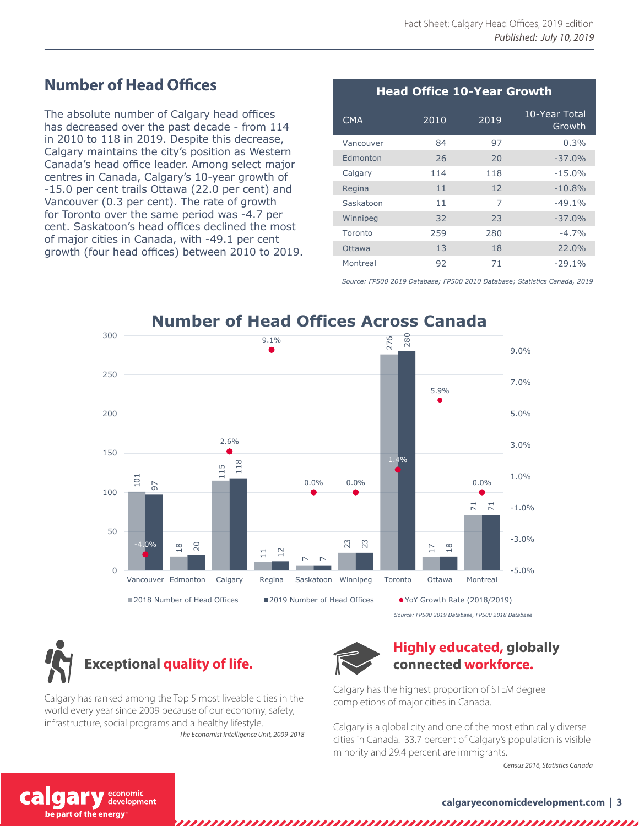# **Number of Head Offices**

The absolute number of Calgary head offices has decreased over the past decade - from 114 in 2010 to 118 in 2019. Despite this decrease, Calgary maintains the city's position as Western Canada's head office leader. Among select major centres in Canada, Calgary's 10-year growth of -15.0 per cent trails Ottawa (22.0 per cent) and Vancouver (0.3 per cent). The rate of growth for Toronto over the same period was -4.7 per cent. Saskatoon's head offices declined the most of major cities in Canada, with -49.1 per cent growth (four head offices) between 2010 to 2019.

## CMA <sup>2010</sup> <sup>2019</sup> 10-Year Total Growth Vancouver 84 97 0.3% Edmonton 26 20 -37.0% Calgary 114 118 -15.0% Regina 11 12 -10.8% Saskatoon 11 7 -49.1% Winnipeg 32 23 -37.0% Toronto 259 280 -4.7% Ottawa 13 18 22.0% Montreal 92 71 -29.1% **Head Office 10-Year Growth**

*Source: FP500 2019 Database; FP500 2010 Database; Statistics Canada, 2019*



*Source: FP500 2019 Database, FP500 2018 Database*



Calgary has ranked among the Top 5 most liveable cities in the world every year since 2009 because of our economy, safety, infrastructure, social programs and a healthy lifestyle. *The Economist Intelligence Unit, 2009-2018*



## **Highly educated, globally connected workforce.**

Calgary has the highest proportion of STEM degree completions of major cities in Canada.

Calgary is a global city and one of the most ethnically diverse cities in Canada. 33.7 percent of Calgary's population is visible minority and 29.4 percent are immigrants.

*Census 2016, Statistics Canada*

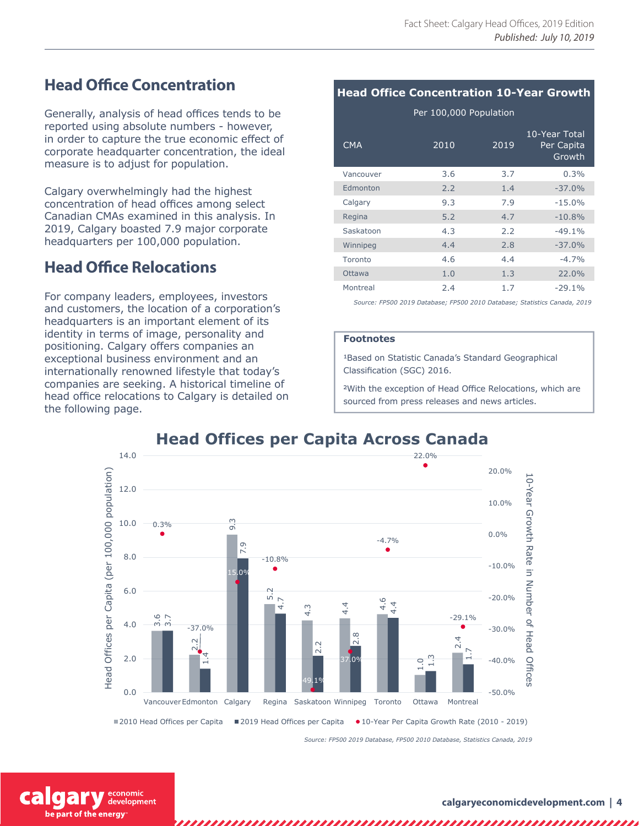# **Head Office Concentration**

Generally, analysis of head offices tends to be reported using absolute numbers - however, in order to capture the true economic effect of corporate headquarter concentration, the ideal measure is to adjust for population.

Calgary overwhelmingly had the highest concentration of head offices among select Canadian CMAs examined in this analysis. In 2019, Calgary boasted 7.9 major corporate headquarters per 100,000 population.

# **Head Office Relocations**

For company leaders, employees, investors and customers, the location of a corporation's headquarters is an important element of its identity in terms of image, personality and positioning. Calgary offers companies an exceptional business environment and an internationally renowned lifestyle that today's companies are seeking. A historical timeline of head office relocations to Calgary is detailed on the following page.

## **Head Office Concentration 10-Year Growth**

Per 100,000 Population

| <b>CMA</b> | 2010 | 2019 | 10-Year Total<br>Per Capita<br>Growth |
|------------|------|------|---------------------------------------|
| Vancouver  | 3.6  | 3.7  | 0.3%                                  |
| Edmonton   | 2.2  | 1.4  | $-37.0%$                              |
| Calgary    | 9.3  | 7.9  | $-15.0%$                              |
| Regina     | 5.2  | 4.7  | $-10.8%$                              |
| Saskatoon  | 4.3  | 2.2  | $-49.1%$                              |
| Winnipeg   | 4.4  | 2.8  | $-37.0%$                              |
| Toronto    | 4.6  | 4.4  | $-4.7%$                               |
| Ottawa     | 1.0  | 1.3  | 22.0%                                 |
| Montreal   | 2.4  | 1.7  | $-29.1%$                              |

*Source: FP500 2019 Database; FP500 2010 Database; Statistics Canada, 2019*

#### **Footnotes**

1Based on Statistic Canada's Standard Geographical Classification (SGC) 2016.

2With the exception of Head Office Relocations, which are sourced from press releases and news articles.



*Source: FP500 2019 Database, FP500 2010 Database, Statistics Canada, 2019*